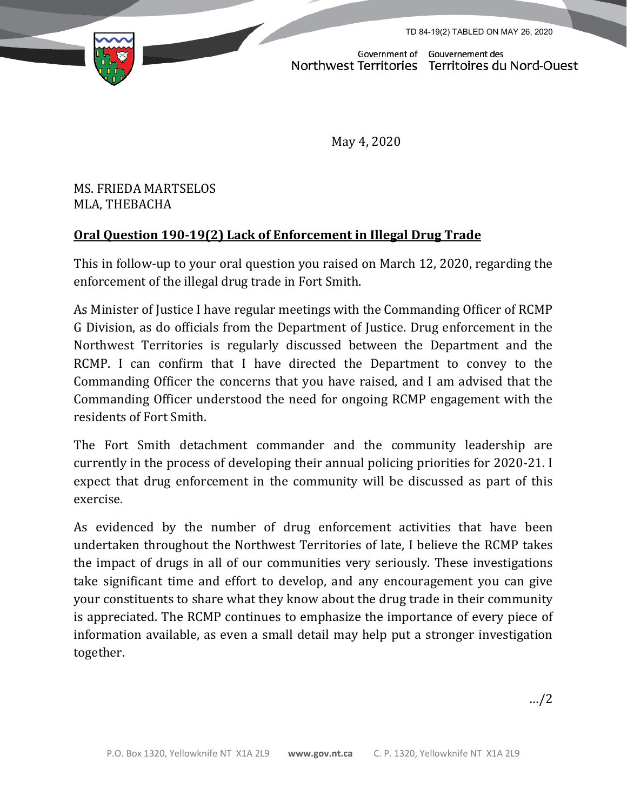TD 84-19(2) TABLED ON MAY 26, 2020



Government of Gouvernement des<br>Northwest Territories Territoires du Nord-Ouest

May 4, 2020

MS. FRIEDA MARTSELOS MLA, THEBACHA

## **Oral Question 190-19(2) Lack of Enforcement in Illegal Drug Trade**

This in follow-up to your oral question you raised on March 12, 2020, regarding the enforcement of the illegal drug trade in Fort Smith.

As Minister of Justice I have regular meetings with the Commanding Officer of RCMP G Division, as do officials from the Department of Justice. Drug enforcement in the Northwest Territories is regularly discussed between the Department and the RCMP. I can confirm that I have directed the Department to convey to the Commanding Officer the concerns that you have raised, and I am advised that the Commanding Officer understood the need for ongoing RCMP engagement with the residents of Fort Smith.

The Fort Smith detachment commander and the community leadership are currently in the process of developing their annual policing priorities for 2020-21. I expect that drug enforcement in the community will be discussed as part of this exercise.

As evidenced by the number of drug enforcement activities that have been undertaken throughout the Northwest Territories of late, I believe the RCMP takes the impact of drugs in all of our communities very seriously. These investigations take significant time and effort to develop, and any encouragement you can give your constituents to share what they know about the drug trade in their community is appreciated. The RCMP continues to emphasize the importance of every piece of information available, as even a small detail may help put a stronger investigation together.

…/2